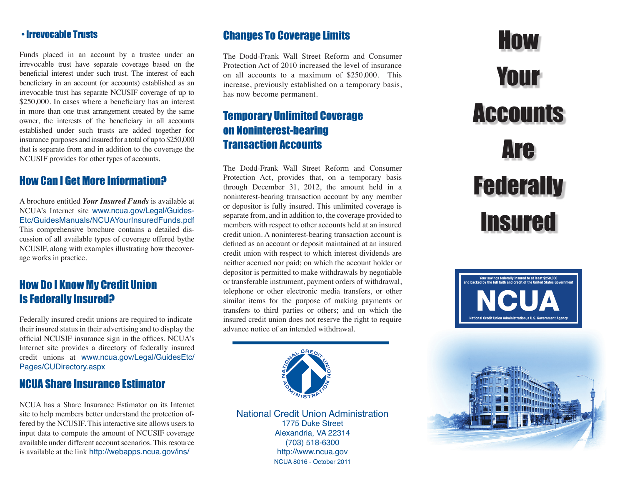#### • Irrevocable Trusts

Funds placed in an account by a trustee under an irrevocable trust have separate coverage based on the beneficial interest under such trust. The interest of each beneficiary in an account (or accounts) established as an irrevocable trust has separate NCUSIF coverage of up to \$250,000. In cases where a beneficiary has an interest in more than one trust arrangement created by the same owner, the interests of the beneficiary in all accounts established under such trusts are added together for insurance purposes and insured for a total of up to \$250,000 that is separate from and in addition to the coverage the NCUSIF provides for other types of accounts.

### How Can I Get More Information?

A brochure entitled *Your Insured Funds* is available at NCUA's Internet site [www.ncua.gov/Legal/Guides-](http://www.ncua.gov/Legal/GuidesEtc/GuidesManuals/NCUAYourInsuredFunds.pdf)[Etc/GuidesManuals/NCUAYourInsuredFunds.pdf](http://www.ncua.gov/Legal/GuidesEtc/GuidesManuals/NCUAYourInsuredFunds.pdf) This comprehensive brochure contains a detailed discussion of all available types of coverage offered bythe NCUSIF, along with examples illustrating how thecoverage works in practice.

# How Do I Know My Credit Union Is Federally Insured?

Federally insured credit unions are required to indicate their insured status in their advertising and to display the official NCUSIF insurance sign in the offices. NCUA's Internet site provides a directory of federally insured credit unions at [www.ncua.gov/Legal/GuidesEtc/](http://www.ncua.gov/Legal/GuidesEtc/Pages/CUDirectory.aspx) [Pages/CUDirectory.aspx](http://www.ncua.gov/Legal/GuidesEtc/Pages/CUDirectory.aspx)

# NCUA Share Insurance Estimator

NCUA has a Share Insurance Estimator on its Internet site to help members better understand the protection offered by the NCUSIF. This interactive site allows users to input data to compute the amount of NCUSIF coverage available under different account scenarios. This resource is available at the link<http://webapps.ncua.gov/ins/>

#### Changes To Coverage Limits

The Dodd-Frank Wall Street Reform and Consumer Protection Act of 2010 increased the level of insurance on all accounts to a maximum of \$250,000. This increase, previously established on a temporary basis, has now become permanent.

# Temporary Unlimited Coverage on Noninterest-bearing Transaction Accounts

The Dodd-Frank Wall Street Reform and Consumer Protection Act, provides that, on a temporary basis through December 31, 2012, the amount held in a noninterest-bearing transaction account by any member or depositor is fully insured. This unlimited coverage is separate from, and in addition to, the coverage provided to members with respect to other accounts held at an insured credit union. A noninterest-bearing transaction account is defined as an account or deposit maintained at an insured credit union with respect to which interest dividends are neither accrued nor paid; on which the account holder or depositor is permitted to make withdrawals by negotiable or transferable instrument, payment orders of withdrawal, telephone or other electronic media transfers, or other similar items for the purpose of making payments or transfers to third parties or others; and on which the insured credit union does not reserve the right to require advance notice of an intended withdrawal.



National Credit Union Administration 1775 Duke Street Alexandria, VA 22314 (703) 518-6300 <http://www.ncua.gov> NCUA 8016 - October 2011

# How Your **Accounts** Are **Federally Insured**